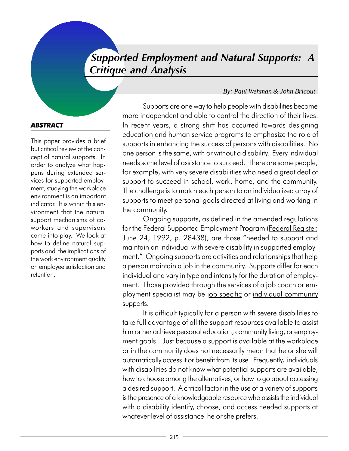### Supported Employment and Natural Supports: A Critique and Analysis

### *By: Paul Wehman & John Bricout*

### **ABSTRACT**

This paper provides a brief but critical review of the concept of natural supports. In order to analyze what happens during extended services for supported employment, studying the workplace environment is an important indicator. It is wtihin this environment that the natural support mechanisms of coworkers and supervisors come into play. We look at how to define natural supports and the implications of the work environment quality on employee satisfaction and retention.

Supports are one way to help people with disabilities become more independent and able to control the direction of their lives. In recent years, a strong shift has occurred towards designing education and human service programs to emphasize the role of supports in enhancing the success of persons with disabilities. No one person is the same, with or without a disability. Every individual needs some level of assistance to succeed. There are some people, for example, with very severe disabilities who need a great deal of support to succeed in school, work, home, and the community. The challenge is to match each person to an individualized array of supports to meet personal goals directed at living and working in the community.

Ongoing supports, as defined in the amended regulations for the Federal Supported Employment Program (Federal Register, June 24, 1992, p. 28438), are those "needed to support and maintain an individual with severe disability in supported employment." Ongoing supports are activities and relationships that help a person maintain a job in the community. Supports differ for each individual and vary in type and intensity for the duration of employment. Those provided through the services of a job coach or employment specialist may be job specific or individual community supports.

It is difficult typically for a person with severe disabilities to take full advantage of all the support resources available to assist him or her achieve personal education, community living, or employment goals. Just because a support is available at the workplace or in the community does not necessarily mean that he or she will automatically access it or benefit from its use. Frequently, individuals with disabilities do not know what potential supports are available, how to choose among the alternatives, or how to go about accessing a desired support. A critical factor in the use of a variety of supports is the presence of a knowledgeable resource who assists the individual with a disability identify, choose, and access needed supports at whatever level of assistance he or she prefers.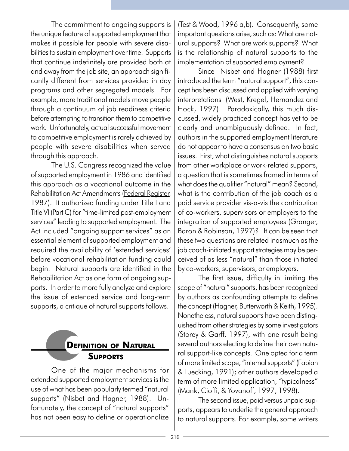The commitment to ongoing supports is the unique feature of supported employment that makes it possible for people with severe disabilities to sustain employment over time. Supports that continue indefinitely are provided both at and away from the job site, an approach significantly different from services provided in day programs and other segregated models. For example, more traditional models move people through a continuum of job readiness criteria before attempting to transition them to competitive work. Unfortunately, actual successful movement to competitive employment is rarely achieved by people with severe disabilities when served through this approach.

The U.S. Congress recognized the value of supported employment in 1986 and identified this approach as a vocational outcome in the Rehabilitation Act Amendments (Federal Register, 1987). It authorized funding under Title I and Title VI (Part C) for "time-limited post-employment services" leading to supported employment. The Act included "ongoing support services" as an essential element of supported employment and required the availability of 'extended services' before vocational rehabilitation funding could begin. Natural supports are identified in the Rehabilitation Act as one form of ongoing supports. In order to more fully analyze and explore the issue of extended service and long-term supports, a critique of natural supports follows.

## **DEFINITION OF NATURAL SUPPORTS**

One of the major mechanisms for extended supported employment services is the use of what has been popularly termed "natural supports" (Nisbet and Hagner, 1988). Unfortunately, the concept of "natural supports" has not been easy to define or operationalize

(Test & Wood, 1996 a,b). Consequently, some important questions arise, such as: What are natural supports? What are work supports? What is the relationship of natural supports to the implementation of supported employment?

Since Nisbet and Hagner (1988) first introduced the term "natural support", this concept has been discussed and applied with varying interpretations (West, Kregel, Hernandez and Hock, 1997). Paradoxically, this much discussed, widely practiced concept has yet to be clearly and unambiguously defined. In fact, authors in the supported employment literature do not appear to have a consensus on two basic issues. First, what distinguishes natural supports from other workplace or work-related supports, a question that is sometimes framed in terms of what does the qualifier "natural" mean? Second, what is the contribution of the job coach as a paid service provider vis-a-vis the contribution of co-workers, supervisors or employers to the integration of supported employees (Granger, Baron & Robinson, 1997)? It can be seen that these two questions are related inasmuch as the job coach-initiated support strategies may be perceived of as less "natural" than those initiated by co-workers, supervisors, or employers.

The first issue, difficulty in limiting the scope of "natural" supports, has been recognized by authors as confounding attempts to define the concept (Hagner, Butterworth & Keith, 1995). Nonetheless, natural supports have been distinguished from other strategies by some investigators (Storey & Garff, 1997), with one result being several authors electing to define their own natural support-like concepts. One opted for a term of more limited scope, "internal supports" (Fabian & Luecking, 1991); other authors developed a term of more limited application, "typicalness" (Mank, Cioffi, & Yovanoff, 1997, 1998).

The second issue, paid versus unpaid supports, appears to underlie the general approach to natural supports. For example, some writers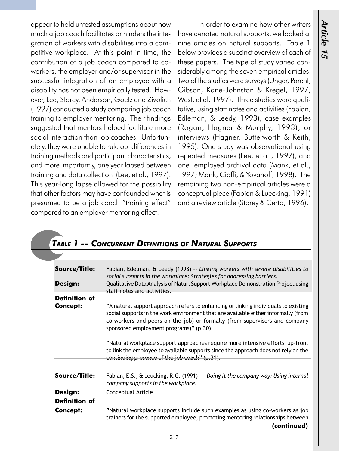appear to hold untested assumptions about how much a job coach facilitates or hinders the integration of workers with disabilities into a competitive workplace. At this point in time, the contribution of a job coach compared to coworkers, the employer and/or supervisor in the successful integration of an employee with a disability has not been empirically tested. However, Lee, Storey, Anderson, Goetz and Zivolich (1997) conducted a study comparing job coach training to employer mentoring. Their findings suggested that mentors helped facilitate more social interaction than job coaches. Unfortunately, they were unable to rule out differences in training methods and participant characteristics, and more importantly, one year lapsed between training and data collection (Lee, et al., 1997). This year-long lapse allowed for the possibility that other factors may have confounded what is presumed to be a job coach "training effect" compared to an employer mentoring effect.

In order to examine how other writers have denoted natural supports, we looked at nine articles on natural supports. Table 1 below provides a succinct overview of each of these papers. The type of study varied considerably among the seven empirical articles. Two of the studies were surveys (Unger, Parent, Gibson, Kane-Johnston & Kregel, 1997; West, et al. 1997). Three studies were qualitative, using staff notes and activities (Fabian, Edleman, & Leedy, 1993), case examples (Rogan, Hagner & Murphy, 1993), or interviews (Hagner, Butterworth & Keith, 1995). One study was observational using repeated measures (Lee, et al., 1997), and one employed archival data (Mank, et al., 1997; Mank, Cioffi, & Yovanoff, 1998). The remaining two non-empirical articles were a conceptual piece (Fabian & Luecking, 1991) and a review article (Storey & Certo, 1996).

### TABLE 1 -- CONCURRENT DEFINITIONS OF NATURAL SUPPORTS

| <b>Source/Title:</b><br>Design:         | Fabian, Edelman, & Leedy (1993) -- Linking workers with severe disabilities to<br>social supports in the workplace: Strategies for addressing barriers.<br>Qualitative Data Analysis of Naturl Support Workplace Demonstration Project using<br>staff notes and activities.                       |
|-----------------------------------------|---------------------------------------------------------------------------------------------------------------------------------------------------------------------------------------------------------------------------------------------------------------------------------------------------|
| <b>Definition of</b><br><b>Concept:</b> | "A natural support approach refers to enhancing or linking individuals to existing<br>social supports in the work environment that are available either informally (from<br>co-workers and peers on the job) or formally (from supervisors and company<br>sponsored employment programs)" (p.30). |
|                                         | "Natural workplace support approaches require more intensive efforts up-front<br>to link the employee to available supports since the approach does not rely on the<br>continuing presence of the job coach" (p.31).                                                                              |
| Source/Title:                           | Fabian, E.S., & Leucking, R.G. (1991) -- Doing it the company way: Using internal<br>company supports in the workplace.                                                                                                                                                                           |
| Design:                                 | Conceptual Article                                                                                                                                                                                                                                                                                |
| <b>Definition of</b>                    |                                                                                                                                                                                                                                                                                                   |
| <b>Concept:</b>                         | "Natural workplace supports include such examples as using co-workers as job<br>trainers for the supported employee, promoting mentoring relationships between<br>(continued)                                                                                                                     |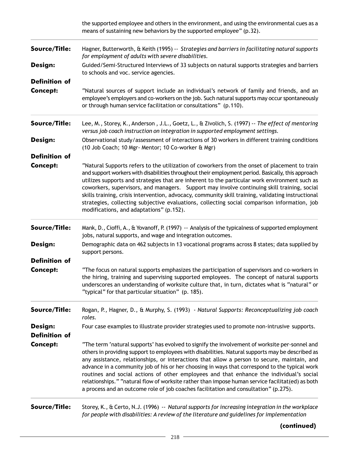|                                 | the supported employee and others in the environment, and using the environmental cues as a<br>means of sustaining new behaviors by the supported employee" (p.32).                                                                                                                                                                                                                                                                                                                                                                                                                                                                                                                       |
|---------------------------------|-------------------------------------------------------------------------------------------------------------------------------------------------------------------------------------------------------------------------------------------------------------------------------------------------------------------------------------------------------------------------------------------------------------------------------------------------------------------------------------------------------------------------------------------------------------------------------------------------------------------------------------------------------------------------------------------|
| Source/Title:                   | Hagner, Butterworth, & Keith (1995) -- Strategies and barriers in facilitating natural supports<br>for employment of adults with severe disabilities.                                                                                                                                                                                                                                                                                                                                                                                                                                                                                                                                     |
| Design:                         | Guided/Semi-Structured Interviews of 33 subjects on natural supports strategies and barriers<br>to schools and voc. service agencies.                                                                                                                                                                                                                                                                                                                                                                                                                                                                                                                                                     |
| <b>Definition of</b>            |                                                                                                                                                                                                                                                                                                                                                                                                                                                                                                                                                                                                                                                                                           |
| <b>Concept:</b>                 | "Natural sources of support include an individual's network of family and friends, and an<br>employee's employers and co-workers on the job. Such natural supports may occur spontaneously<br>or through human service facilitation or consultations" (p.110).                                                                                                                                                                                                                                                                                                                                                                                                                            |
| Source/Title:                   | Lee, M., Storey, K., Anderson, J.L., Goetz, L., & Zivolich, S. (1997) -- The effect of mentoring<br>versus job coach instruction on integration in supported employment settings.                                                                                                                                                                                                                                                                                                                                                                                                                                                                                                         |
| Design:                         | Observational study/assessment of interactions of 30 workers in different training conditions<br>(10 Job Coach; 10 Mgr- Mentor; 10 Co-worker & Mgr)                                                                                                                                                                                                                                                                                                                                                                                                                                                                                                                                       |
| <b>Definition of</b>            |                                                                                                                                                                                                                                                                                                                                                                                                                                                                                                                                                                                                                                                                                           |
| <b>Concept:</b>                 | "Natural Supports refers to the utilization of coworkers from the onset of placement to train<br>and support workers with disabilities throughout their employment period. Basically, this approach<br>utilizes supports and strategies that are inherent to the particular work environment such as<br>coworkers, supervisors, and managers. Support may involve continuing skill training, social<br>skills training, crisis intervention, advocacy, community skill training, validating instructional<br>strategies, collecting subjective evaluations, collecting social comparison information, job<br>modifications, and adaptations" (p.152).                                     |
| Source/Title:                   | Mank, D., Cioffi, A., & Yovanoff, P. (1997) -- Analysis of the typicalness of supported employment<br>jobs, natural supports, and wage and integration outcomes.                                                                                                                                                                                                                                                                                                                                                                                                                                                                                                                          |
| Design:                         | Demographic data on 462 subjects in 13 vocational programs across 8 states; data supplied by<br>support persons.                                                                                                                                                                                                                                                                                                                                                                                                                                                                                                                                                                          |
| <b>Definition of</b>            |                                                                                                                                                                                                                                                                                                                                                                                                                                                                                                                                                                                                                                                                                           |
| <b>Concept:</b>                 | "The focus on natural supports emphasizes the participation of supervisors and co-workers in<br>the hiring, training and supervising supported employees. The concept of natural supports<br>underscores an understanding of worksite culture that, in turn, dictates what is "natural" or<br>"typical" for that particular situation" (p. 185).                                                                                                                                                                                                                                                                                                                                          |
| Source/Title:                   | Rogan, P., Hagner, D., & Murphy, S. (1993) - Natural Supports: Reconceptualizing job coach<br>roles.                                                                                                                                                                                                                                                                                                                                                                                                                                                                                                                                                                                      |
| Design:<br><b>Definition of</b> | Four case examples to illustrate provider strategies used to promote non-intrusive supports.                                                                                                                                                                                                                                                                                                                                                                                                                                                                                                                                                                                              |
| <b>Concept:</b>                 | "The term 'natural supports' has evolved to signify the involvement of worksite per-sonnel and<br>others in providing support to employees with disabilities. Natural supports may be described as<br>any assistance, relationships, or interactions that allow a person to secure, maintain, and<br>advance in a community job of his or her choosing in ways that correspond to the typical work<br>routines and social actions of other employees and that enhance the individual's social<br>relationships." "natural flow of worksite rather than impose human service facilitat(ed) as both<br>a process and an outcome role of job coaches facilitation and consultation" (p.275). |
| Source/Title:                   | Storey, K., & Certo, N.J. (1996) -- Natural supports for increasing integration in the workplace<br>for people with disabilities: A review of the literature and guidelines for implementation                                                                                                                                                                                                                                                                                                                                                                                                                                                                                            |

(continued)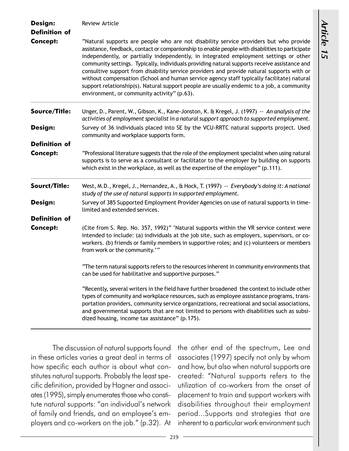| Design:<br><b>Definition of</b> | <b>Review Article</b>                                                                                                                                                                                                                                                                                                                                                                                                                                                                                                                                                                                                                                                                                                    |  |  |
|---------------------------------|--------------------------------------------------------------------------------------------------------------------------------------------------------------------------------------------------------------------------------------------------------------------------------------------------------------------------------------------------------------------------------------------------------------------------------------------------------------------------------------------------------------------------------------------------------------------------------------------------------------------------------------------------------------------------------------------------------------------------|--|--|
|                                 |                                                                                                                                                                                                                                                                                                                                                                                                                                                                                                                                                                                                                                                                                                                          |  |  |
| <b>Concept:</b>                 | "Natural supports are people who are not disability service providers but who provide<br>assistance, feedback, contact or companionship to enable people with disabilities to participate<br>independently, or partially independently, in integrated employment settings or other<br>community settings. Typically, individuals providing natural supports receive assistance and<br>consultive support from disability service providers and provide natural supports with or<br>without compensation (School and human service agency staff typically facilitate) natural<br>support relationship(s). Natural support people are usually endemic to a job, a community<br>environment, or community activity" (p.63). |  |  |
| Source/Title:                   | Unger, D., Parent, W., Gibson, K., Kane-Jonston, K. & Kregel, J. (1997) -- An analysis of the<br>activities of employment specialist in a natural support approach to supported employment.                                                                                                                                                                                                                                                                                                                                                                                                                                                                                                                              |  |  |
| Design:                         | Survey of 36 individuals placed into SE by the VCU-RRTC natural supports project. Used<br>community and workplace supports form.                                                                                                                                                                                                                                                                                                                                                                                                                                                                                                                                                                                         |  |  |
| <b>Definition of</b>            |                                                                                                                                                                                                                                                                                                                                                                                                                                                                                                                                                                                                                                                                                                                          |  |  |
| <b>Concept:</b>                 | "Professional literature suggests that the role of the employment specialist when using natural<br>supports is to serve as a consultant or facilitator to the employer by building on supports<br>which exist in the workplace, as well as the expertise of the employer" (p.111).                                                                                                                                                                                                                                                                                                                                                                                                                                       |  |  |
| Sourct/Title:                   | West, M.D., Kregel, J., Hernandez, A., & Hock, T. (1997) -- Everybody's doing it: A national<br>study of the use of natural supports in supported employment.                                                                                                                                                                                                                                                                                                                                                                                                                                                                                                                                                            |  |  |
| Design:                         | Survey of 385 Supported Employment Provider Agencies on use of natural supports in time-<br>limited and extended services.                                                                                                                                                                                                                                                                                                                                                                                                                                                                                                                                                                                               |  |  |
| <b>Definition of</b>            |                                                                                                                                                                                                                                                                                                                                                                                                                                                                                                                                                                                                                                                                                                                          |  |  |
| <b>Concept:</b>                 | (Cite from S. Rep. No. 357, 1992)" 'Natural supports within the VR service context were<br>intended to include: (a) individuals at the job site, such as employers, supervisors, or co-<br>workers. (b) friends or family members in supportive roles; and (c) volunteers or members<br>from work or the community."                                                                                                                                                                                                                                                                                                                                                                                                     |  |  |
|                                 | "The term natural supports refers to the resources inherent in community environments that<br>can be used for habilitative and supportive purposes."                                                                                                                                                                                                                                                                                                                                                                                                                                                                                                                                                                     |  |  |
|                                 | "Recently, several writers in the field have further broadened the context to include other<br>types of community and workplace resources, such as employee assistance programs, trans-<br>portation providers, community service organizations, recreational and social associations,<br>and governmental supports that are not limited to persons with disabilities such as subsi-<br>dized housing, income tax assistance" (p.175).                                                                                                                                                                                                                                                                                   |  |  |

The discussion of natural supports found in these articles varies a great deal in terms of how specific each author is about what constitutes natural supports. Probably the least specific definition, provided by Hagner and associates (1995), simply enumerates those who constitute natural supports: "an individual's network of family and friends, and an employee's employers and co-workers on the job." (p.32). At

the other end of the spectrum, Lee and associates (1997) specify not only by whom and how, but also when natural supports are created: Natural supports refers to the utilization of co-workers from the onset of placement to train and support workers with disabilities throughout their employment period...Supports and strategies that are inherent to a particular work environment such

Article 15

Article 15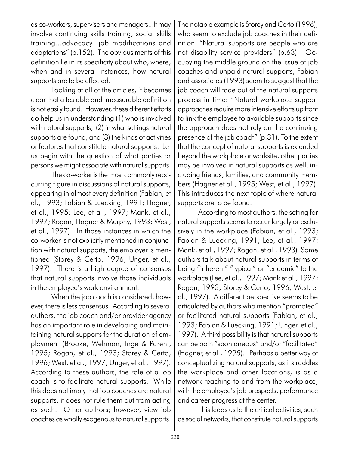as co-workers, supervisors and managers...It may involve continuing skills training, social skills training...advocacy...job modifications and adaptations" (p.152). The obvious merits of this definition lie in its specificity about who, where, when and in several instances, how natural supports are to be effected.

Looking at all of the articles, it becomes clear that a testable and measurable definition is not easily found. However, these different efforts do help us in understanding (1) who is involved with natural supports, (2) in what settings natural supports are found, and (3) the kinds of activities or features that constitute natural supports. Let us begin with the question of what parties or persons we might associate with natural supports.

The co-worker is the most commonly reoccurring figure in discussions of natural supports, appearing in almost every definition (Fabian, et al., 1993; Fabian & Luecking, 1991; Hagner, et al., 1995; Lee, et al., 1997; Mank, et al., 1997; Rogan, Hagner & Murphy, 1993; West, et al., 1997). In those instances in which the co-worker is not explicitly mentioned in conjunction with natural supports, the employer is mentioned (Storey & Certo, 1996; Unger, et al., 1997). There is a high degree of consensus that natural supports involve those individuals in the employee's work environment.

When the job coach is considered, however, there is less consensus. According to several authors, the job coach and/or provider agency has an important role in developing and maintaining natural supports for the duration of employment (Brooke, Wehman, Inge & Parent, 1995; Rogan, et al., 1993; Storey & Certo, 1996; West, et al., 1997; Unger, et al., 1997). According to these authors, the role of a job coach is to facilitate natural supports. While this does not imply that job coaches are natural supports, it does not rule them out from acting as such. Other authors; however, view job coaches as wholly exogenous to natural supports. The notable example is Storey and Certo (1996), who seem to exclude job coaches in their definition: "Natural supports are people who are not disability service providers" (p.63). Occupying the middle ground on the issue of job coaches and unpaid natural supports, Fabian and associates (1993) seem to suggest that the job coach will fade out of the natural supports process in time: "Natural workplace support approaches require more intensive efforts up front to link the employee to available supports since the approach does not rely on the continuing presence of the job coach"  $(p.31)$ . To the extent that the concept of natural supports is extended beyond the workplace or worksite, other parties may be involved in natural supports as well, including friends, families, and community members (Hagner et al., 1995; West, et al., 1997). This introduces the next topic of where natural supports are to be found.

According to most authors, the setting for natural supports seems to occur largely or exclusively in the workplace (Fabian, et al., 1993; Fabian & Luecking, 1991; Lee, et al., 1997; Mank, et al., 1997; Rogan, et al., 1993). Some authors talk about natural supports in terms of being "inherent" "typical" or "endemic" to the workplace (Lee, et al., 1997; Mank et al., 1997; Rogan; 1993; Storey & Certo, 1996; West, et al., 1997). A different perspective seems to be articulated by authors who mention "promoted" or facilitated natural supports (Fabian, et al., 1993; Fabian & Luecking, 1991; Unger, et al., 1997). A third possibility is that natural supports can be both "spontaneous" and/or "facilitated" (Hagner, et al., 1995). Perhaps a better way of conceptualizing natural supports, as it straddles the workplace and other locations, is as a network reaching to and from the workplace, with the employee's job prospects, performance and career progress at the center.

This leads us to the critical activities, such as social networks, that constitute natural supports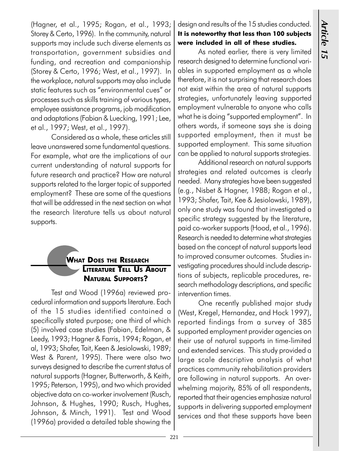(Hagner, et al., 1995; Rogan, et al., 1993; Storey & Certo, 1996). In the community, natural supports may include such diverse elements as transportation, government subsidies and funding, and recreation and companionship (Storey & Certo, 1996; West, et al., 1997). In the workplace, natural supports may also include static features such as "environmental cues" or processes such as skills training of various types, employee assistance programs, job modification and adaptations (Fabian & Luecking, 1991; Lee, et al., 1997; West, et al., 1997).

Considered as a whole, these articles still leave unanswered some fundamental questions. For example, what are the implications of our current understanding of natural supports for future research and practice? How are natural supports related to the larger topic of supported employment? These are some of the questions that will be addressed in the next section on what the research literature tells us about natural supports.

### WHAT DOES THE RESEARCH **LITERATURE TELL US ABOUT** NATURAL SUPPORTS?

Test and Wood (1996a) reviewed procedural information and supports literature. Each of the 15 studies identified contained a specifically stated purpose; one third of which (5) involved case studies (Fabian, Edelman, & Leedy, 1993; Hagner & Farris, 1994; Rogan, et al, 1993; Shafer, Tait, Keen & Jesiolowski, 1989; West & Parent, 1995). There were also two surveys designed to describe the current status of natural supports (Hagner, Butterworth, & Keith, 1995; Peterson, 1995), and two which provided objective data on co-worker involvement (Rusch, Johnson, & Hughes, 1990; Rusch, Hughes, Johnson, & Minch, 1991). Test and Wood (1996a) provided a detailed table showing the

### design and results of the 15 studies conducted. It is noteworthy that less than 100 subjects were included in all of these studies.

As noted earlier, there is very limited research designed to determine functional variables in supported employment as a whole therefore, it is not surprising that research does not exist within the area of natural supports strategies, unfortunately leaving supported employment vulnerable to anyone who calls what he is doing "supported employment". In others words, if someone says she is doing supported employment, then it must be supported employment. This same situation can be applied to natural supports strategies.

Additional research on natural supports strategies and related outcomes is clearly needed. Many strategies have been suggested (e.g., Nisbet & Hagner, 1988; Rogan et al., 1993; Shafer, Tait, Kee & Jesiolowski, 1989), only one study was found that investigated a specific strategy suggested by the literature, paid co-worker supports (Hood, et al., 1996). Research is needed to determine what strategies based on the concept of natural supports lead to improved consumer outcomes. Studies investigating procedures should include descriptions of subjects, replicable procedures, research methodology descriptions, and specific intervention times.

One recently published major study (West, Kregel, Hernandez, and Hock 1997), reported findings from a survey of 385 supported employment provider agencies on their use of natural supports in time-limited and extended services. This study provided a large scale descriptive analysis of what practices community rehabilitation providers are following in natural supports. An overwhelming majority, 85% of all respondents, reported that their agencies emphasize natural supports in delivering supported employment services and that these supports have been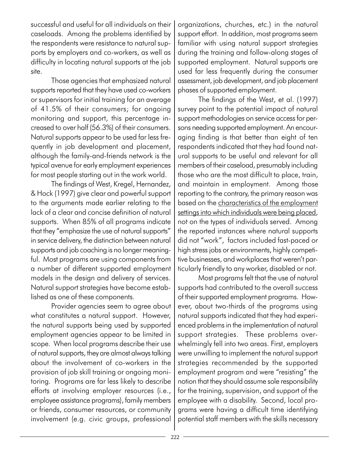successful and useful for all individuals on their caseloads. Among the problems identified by the respondents were resistance to natural supports by employers and co-workers, as well as difficulty in locating natural supports at the job site.

Those agencies that emphasized natural supports reported that they have used co-workers or supervisors for initial training for an average of 41.5% of their consumers; for ongoing monitoring and support, this percentage increased to over half (56.3%) of their consumers. Natural supports appear to be used far less frequently in job development and placement, although the family-and-friends network is the typical avenue for early employment experiences for most people starting out in the work world.

The findings of West, Kregel, Hernandez, & Hock (1997) give clear and powerful support to the arguments made earlier relating to the lack of a clear and concise definition of natural supports. When 85% of all programs indicate that they "emphasize the use of natural supports" in service delivery, the distinction between natural supports and job coaching is no longer meaningful. Most programs are using components from a number of different supported employment models in the design and delivery of services. Natural support strategies have become established as one of these components.

Provider agencies seem to agree about what constitutes a natural support. However, the natural supports being used by supported employment agencies appear to be limited in scope. When local programs describe their use of natural supports, they are almost always talking about the involvement of co-workers in the provision of job skill training or ongoing monitoring. Programs are far less likely to describe efforts at involving employer resources (i.e., employee assistance programs), family members or friends, consumer resources, or community involvement (e.g. civic groups, professional

organizations, churches, etc.) in the natural support effort. In addition, most programs seem familiar with using natural support strategies during the training and follow-along stages of supported employment. Natural supports are used far less frequently during the consumer assessment, job development, and job placement phases of supported employment.

The findings of the West, et al. (1997) survey point to the potential impact of natural support methodologies on service access for persons needing supported employment. An encouraging finding is that better than eight of ten respondents indicated that they had found natural supports to be useful and relevant for all members of their caseload, presumably including those who are the most difficult to place, train, and maintain in employment. Among those reporting to the contrary, the primary reason was based on the characteristics of the employment settings into which individuals were being placed, not on the types of individuals served. Among the reported instances where natural supports did not "work", factors included fast-paced or high stress jobs or environments, highly competitive businesses, and workplaces that weren't particularly friendly to any worker, disabled or not.

Most programs felt that the use of natural supports had contributed to the overall success of their supported employment programs. However, about two-thirds of the programs using natural supports indicated that they had experienced problems in the implementation of natural support strategies. These problems overwhelmingly fell into two areas. First, employers were unwilling to implement the natural support strategies recommended by the supported employment program and were "resisting" the notion that they should assume sole responsibility for the training, supervision, and support of the employee with a disability. Second, local programs were having a difficult time identifying potential staff members with the skills necessary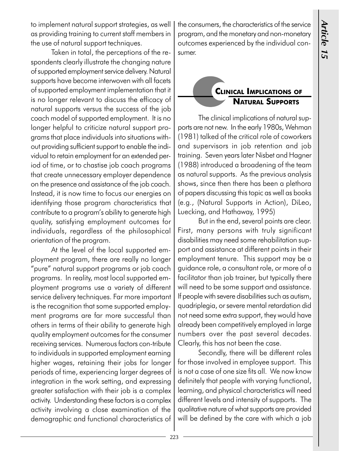to implement natural support strategies, as well as providing training to current staff members in the use of natural support techniques.

Taken in total, the perceptions of the respondents clearly illustrate the changing nature of supported employment service delivery. Natural supports have become interwoven with all facets of supported employment implementation that it is no longer relevant to discuss the efficacy of natural supports versus the success of the job coach model of supported employment. It is no longer helpful to criticize natural support programs that place individuals into situations without providing sufficient support to enable the individual to retain employment for an extended period of time, or to chastise job coach programs that create unnecessary employer dependence on the presence and assistance of the job coach. Instead, it is now time to focus our energies on identifying those program characteristics that contribute to a program's ability to generate high quality, satisfying employment outcomes for individuals, regardless of the philosophical orientation of the program.

At the level of the local supported employment program, there are really no longer "pure" natural support programs or job coach programs. In reality, most local supported employment programs use a variety of different service delivery techniques. Far more important is the recognition that some supported employment programs are far more successful than others in terms of their ability to generate high quality employment outcomes for the consumer receiving services. Numerous factors con-tribute to individuals in supported employment earning higher wages, retaining their jobs for longer periods of time, experiencing larger degrees of integration in the work setting, and expressing greater satisfaction with their job is a complex activity. Understanding these factors is a complex activity involving a close examination of the demographic and functional characteristics of the consumers, the characteristics of the service program, and the monetary and non-monetary outcomes experienced by the individual consumer.

### CLINICAL IMPLICATIONS OF NATURAL SUPPORTS

The clinical implications of natural supports are not new. In the early 1980s, Wehman (1981) talked of the critical role of coworkers and supervisors in job retention and job training. Seven years later Nisbet and Hagner (1988) introduced a broadening of the team as natural supports. As the previous analysis shows, since then there has been a plethora of papers discussing this topic as well as books (e.g., (Natural Supports in Action), DiLeo, Luecking, and Hathaway, 1995)

But in the end, several points are clear. First, many persons with truly significant disabilities may need some rehabilitation support and assistance at different points in their employment tenure. This support may be a guidance role, a consultant role, or more of a facilitator than job trainer, but typically there will need to be some support and assistance. If people with severe disabilities such as autism, quadriplegia, or severe mental retardation did not need some extra support, they would have already been competitively employed in large numbers over the past several decades. Clearly, this has not been the case.

Secondly, there will be different roles for those involved in employee support. This is not a case of one size fits all. We now know definitely that people with varying functional, learning, and physical characteristics will need different levels and intensity of supports. The qualitative nature of what supports are provided will be defined by the care with which a job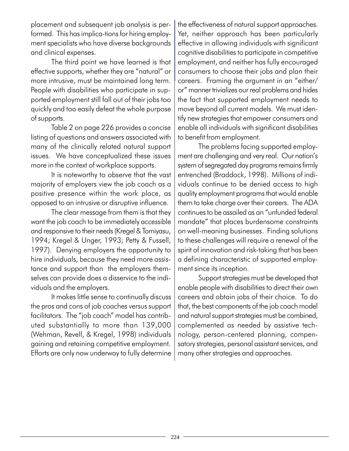placement and subsequent job analysis is performed. This has implica-tions for hiring employment specialists who have diverse backgrounds and clinical expenses.

The third point we have learned is that effective supports, whether they are "natural" or more intrusive, must be maintained long term. People with disabilities who participate in supported employment still fall out of their jobs too quickly and too easily defeat the whole purpose of supports.

Table 2 on page 226 provides a concise listing of questions and answers associated with many of the clinically related natural support issues. We have conceptualized these issues more in the context of workplace supports.

It is noteworthy to observe that the vast majority of employers view the job coach as a positive presence within the work place, as opposed to an intrusive or disruptive influence.

The clear message from them is that they want the job coach to be immediately accessible and responsive to their needs (Kregel & Tomiyasu, 1994; Kregel & Unger, 1993; Petty & Fussell, 1997). Denying employers the opportunity to hire individuals, because they need more assistance and support than the employers themselves can provide does a disservice to the individuals and the employers.

It makes little sense to continually discuss the pros and cons of job coaches versus support facilitators. The "job coach" model has contributed substantially to more than 139,000 (Wehman, Revell, & Kregel, 1998) individuals gaining and retaining competitive employment. Efforts are only now underway to fully determine

the effectiveness of natural support approaches. Yet, neither approach has been particularly effective in allowing individuals with significant cognitive disabilities to participate in competitive employment, and neither has fully encouraged consumers to choose their jobs and plan their careers. Framing the argument in an "either/ or" manner trivializes our real problems and hides the fact that supported employment needs to move beyond all current models. We must identify new strategies that empower consumers and enable all individuals with significant disabilities to benefit from employment.

The problems facing supported employment are challenging and very real. Our nation's system of segregated day programs remains firmly entrenched (Braddock, 1998). Millions of individuals continue to be denied access to high quality employment programs that would enable them to take charge over their careers. The ADA continues to be assailed as an "unfunded federal mandate" that places burdensome constraints on well-meaning businesses. Finding solutions to these challenges will require a renewal of the spirit of innovation and risk-taking that has been a defining characteristic of supported employment since its inception.

Support strategies must be developed that enable people with disabilities to direct their own careers and obtain jobs of their choice. To do that, the best components of the job coach model and natural support strategies must be combined, complemented as needed by assistive technology, person-centered planning, compensatory strategies, personal assistant services, and many other strategies and approaches.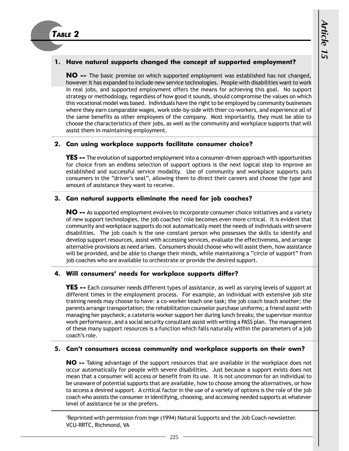### 1. Have natural supports changed the concept of supported employment?

NO -- The basic premise on which supported employment was established has not changed, however it has expanded to include new service technologies. People with disabilities want to work in real jobs, and supported employment offers the means for achieving this goal. No support strategy or methodology, regardless of how good it sounds, should compromise the values on which this vocational model was based. Individuals have the right to be employed by community businesses where they earn comparable wages, work side-by-side with thier co-workers, and experience all of the same benefits as other employees of the company. Most importantly, they must be able to choose the characteristics of their jobs, as well as the community and workplace supports that will assist them in maintaining employment.

### 2. Can using workplace supports facilitate consumer choice?

**YES --** The evolution of supported employment into a consumer-driven approach with opportunities for choice from an endless selection of support options is the next logical step to improve an established and successful service modality. Use of community and workplace supports puts consumers in the "driver's seat", allowing them to direct their careers and choose the type and amount of assistance they want to receive.

### 3. Can natural supports eliminate the need for job coaches?

NO -- As supported employment evolves to incorporate consumer choice initiatives and a variety of new support technologies, the job coaches' role becomes even more critical. It is evident that community and workplace supports do not automatically meet the needs of individuals with severe disabilities. The job coach is the one constant person who possesses the skills to identify and develop support resources, assist with accessing services, evaluate the effectiveness, and arrange alternative provisions as need arises. Consumers should choose who will assist them, how assistance will be provided, and be able to change their minds, while maintaining a "circle of support" from job coaches who are available to orchestrate or provide the desired support.

### 4. Will consumers' needs for workplace supports differ?

**YES --** Each consumer needs different types of assistance, as well as varying levels of support at different times in the employment process. For example, an individual with extensive job site training needs may choose to have: a co-worker teach one task; the job coach teach another; the parents arrange transportation; the rehabilitation counselor purchase uniforms; a friend assist with managing her paycheck; a cateteria worker support her during lunch breaks; the supervisor monitor work performance, and a social security consultant assist with writing a PASS plan. The management of these many support resources is a function which falls naturally within the parameters of a job coach's role.

### 5. Can't consumers access community and workplace supports on their own?

NO -- Taking advantage of the support resources that are available in the workplace does not occur automatically for people with severe disabilities. Just because a support exists does not mean that a consumer will access or benefit from its use. It is not uncommon for an individual to be unaware of potential supports that are available, how to choose among the alternatives, or how to access a desired support. A critical factor in the use of a variety of options is the role of the job coach who assists the consumer in identifying, choosing, and accessing needed supports at whatever level of assistance he or she prefers.

1 Reprinted with permission from Inge (1994) Natural Supports and the Job Coach newsletter. VCU-RRTC, Richmond, VA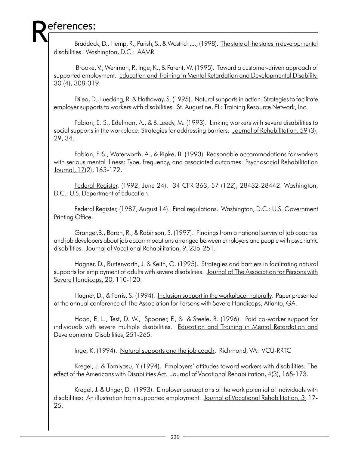# eferences:

Braddock, D., Hemp, R., Parish, S., & Wostrich, J., (1998). The state of the states in developmental disabilities. Washington, D.C.: AAMR.

 Brooke, V., Wehman, P., Inge, K., & Parent, W. (1995). Toward a customer-driven approach of supported employment. Education and Training in Mental Retardation and Developmental Disability, 30 (4), 308-319.

Dileo, D., Luecking, R. & Hathaway, S. (1995). Natural supports in action: Strategies to facilitate employer supports to workers with disabilities. St. Augustine, FL: Training Resource Network, Inc.

Fabian, E. S., Edelman, A., & & Leedy, M. (1993). Linking workers with severe disabilities to social supports in the workplace: Strategies for addressing barriers. Journal of Rehabilitation, 59 (3), 29, 34.

Fabian, E.S., Waterworth, A., & Ripke, B. (1993). Reasonable accommodations for workers with serious mental illness: Type, frequency, and associated outcomes. Psychosocial Rehabilitation Journal, 17(2), 163-172.

Federal Register, (1992, June 24). 34 CFR 363, 57 (122), 28432-28442. Washington, D.C.: U.S. Department of Education.

Federal Register, (1987, August 14). Final regulations. Washington, D.C.: U.S. Government Printing Office.

Granger,B., Baron, R., & Robinson, S. (1997). Findings from a national survey of job coaches and job developers about job accommodations arranged between employers and people with psychiatric disabilities. Journal of Vocational Rehabilitation, 9, 235-251.

Hagner, D., Butterworth, J. & Keith, G. (1995). Strategies and barriers in facilitating natural supports for employment of adults with severe disabilities. Journal of The Association for Persons with Severe Handicaps, 20, 110-120.

Hagner, D., & Farris, S. (1994). Inclusion support in the workplace, naturally. Paper presented at the annual conference of The Association for Persons with Severe Handicaps, Atlanta, GA.

Hood, E. L., Test, D. W., Spooner, F., & & Steele, R. (1996). Paid co-worker support for individuals with severe multiple disabilities. Education and Training in Mental Retardation and Developmental Disabilities, 251-265.

Inge, K. (1994). Natural supports and the job coach. Richmond, VA: VCU-RRTC

Kregel, J. & Tomiyasu, Y (1994). Employers' attitudes toward workers with disabilities: The effect of the Americans with Disabilities Act. Journal of Vocational Rehabilitation, 4(3), 165-173.

Kregel, J. & Unger, D. (1993). Employer perceptions of the work potential of individuals with disabilities: An illustration from supported employment. Journal of Vocational Rehabilitation, 3, 17-25.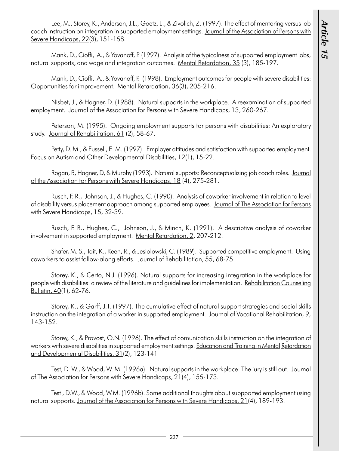Lee, M., Storey, K., Anderson, J.L., Goetz, L., & Zivolich, Z. (1997). The effect of mentoring versus job coach instruction on integration in supported employment settings. Journal of the Association of Persons with Severe Handicaps, 22(3), 151-158.

Mank, D., Cioffi, A., & Yovanoff, P. (1997). Analysis of the typicalness of supported employment jobs, natural supports, and wage and integration outcomes. Mental Retardation, 35 (3), 185-197.

Mank, D., Cioffi, A., & Yovanoff, P. (1998). Employment outcomes for people with severe disabilities: Opportunities for improvement. Mental Retardation, 36(3), 205-216.

Nisbet, J., & Hagner, D. (1988). Natural supports in the workplace. A reexamination of supported employment. Journal of the Association for Persons with Severe Handicaps, 13, 260-267.

Peterson, M. (1995). Ongoing employment supports for persons with disabilities: An exploratory study. Journal of Rehabilitation, 61 (2), 58-67.

Petty, D. M., & Fussell, E. M. (1997). Employer attitudes and satisfaction with supported employment. Focus on Autism and Other Developmental Disabilities, 12(1), 15-22.

Rogan, P., Hagner, D, & Murphy (1993). Natural supports: Reconceptualizing job coach roles. Journal of the Association for Persons with Severe Handicaps, 18 (4), 275-281.

Rusch, F. R., Johnson, J., & Hughes, C. (1990). Analysis of coworker involvement in relation to level of disability versus placement approach among supported employees. Journal of The Association for Persons with Severe Handicaps, 15, 32-39.

Rusch, F. R., Hughes, C., Johnson, J., & Minch, K. (1991). A descriptive analysis of coworker involvement in supported employment. Mental Retardation, 2, 207-212.

Shafer, M. S., Tait, K., Keen, R., & Jesiolowski, C. (1989). Supported competitive employment: Using coworkers to assist follow-along efforts. Journal of Rehabilitation, 55, 68-75.

Storey, K., & Certo, N.J. (1996). Natural supports for increasing integration in the workplace for people with disabilities: a review of the literature and guidelines for implementation. Rehabilitation Counseling Bulletin, 40(1), 62-76.

Storey, K., & Garff, J.T. (1997). The cumulative effect of natural support strategies and social skills instruction on the integration of a worker in supported employment. Journal of Vocational Rehabilitation, 9, 143-152.

Storey, K., & Provost, O.N. (1996). The effect of comunication skills instruction on the integration of workers with severe disabilities in supported employment settings. Education and Training in Mental Retardation and Developmental Disabilities, 31(2), 123-141

Test, D. W., & Wood, W. M. (1996a). Natural supports in the workplace: The jury is still out. Journal of The Association for Persons with Severe Handicaps, 21(4), 155-173.

Test , D.W., & Wood, W.M. (1996b). Some additional thoughts about suppported employment using natural supports. Journal of the Association for Persons with Severe Handicaps, 21(4), 189-193.